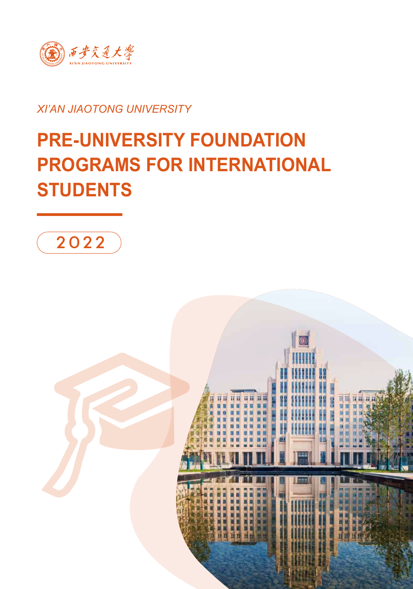

#### *XI'AN JIAOTONG UNIVERSITY*

# **PRE-UNIVERSITY FOUNDATION PROGRAMS FOR INTERNATIONAL STUDENTS**



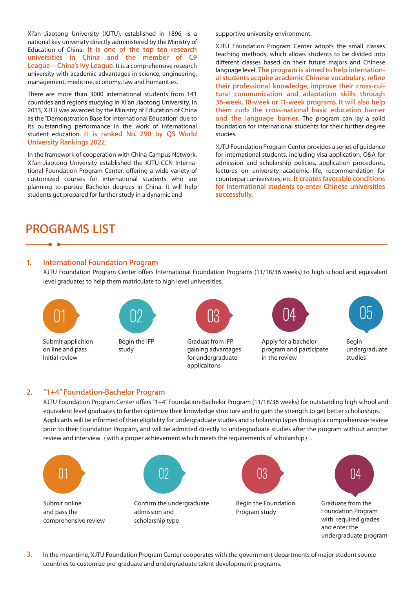Xi'an Jiaotong University (XJTU), established in 1896, is a national key university directly administered by the Ministry of Education of China. **It is one of the top ten research universities in China and the member of C9 League—China's Ivy League.** It is a comprehensive research university with academic advantages in science, engineering, management, medicine, economy, law and humanities.

There are more than 3000 international students from 141 countries and regions studying in Xi'an Jiaotong University. In 2013, XJTU was awarded by the Ministry of Education of China as the "Demonstration Base for International Education" due to its outstanding performance in the work of international student education. **It is ranked No. 290 by QS World University Rankings 2022.**

In the framework of cooperation with China Campus Network, Xi'an Jiaotong University established the XJTU-CCN International Foundation Program Center, offering a wide variety of customized courses for international students who are planning to pursue Bachelor degrees in China. It will help students get prepared for further study in a dynamic and

supportive university environment.

XJTU Foundation Program Center adopts the small classes teaching methods, which allows students to be divided into different classes based on their future majors and Chinese language level. **The program is aimed to help international students acquire academic Chinese vocabulary, refine their professional knowledge, improve their cross-cultural communication and adaptation skills through 36-week, 18-week or 11-week programs. It will also help them curb the cross-national basic education barrier and the language barrier.** The program can lay a solid foundation for international students for their further degree studies.

XJTU Foundation Program Center provides a series of guidance for international students, including visa application, Q&A for admission and scholarship policies, application procedures, lectures on university academic life, recommendation for counterpart universities, etc. **It creates favorable conditions for international students to enter Chinese universities successfully.**

### **PROGRAMS LIST**

#### **1. International Foundation Program**

XJTU Foundation Program Center offers International Foundation Programs (11/18/36 weeks) to high school and equivalent level graduates to help them matriculate to high level universities.



#### **2. "1+4" Foundation-Bachelor Program**

XJTU Foundation Program Center offers "1+4" Foundation-Bachelor Program (11/18/36 weeks) for outstanding high school and equivalent level graduates to further optimize their knowledge structure and to gain the strength to get better scholarships. Applicants will be informed of their eligibility for undergraduate studies and scholarship types through a comprehensive review prior to their Foundation Program, and will be admitted directly to undergraduate studies after the program without another review and interview (with a proper achievement which meets the requirements of scholarship).



**3.** In the meantime, XJTU Foundation Program Center cooperates with the government departments of major student source countries to customize pre-graduate and undergraduate talent development programs.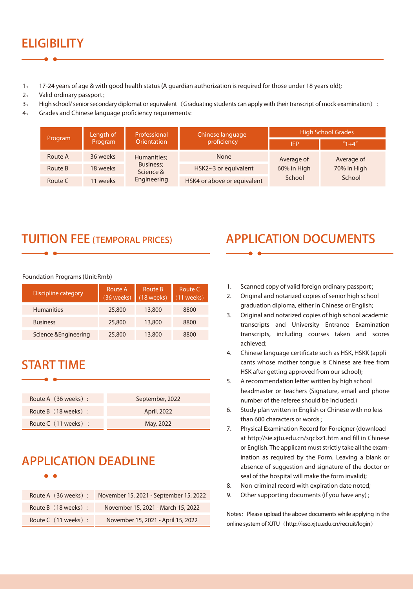# **ELIGIBILITY**

- 1、 17-24 years of age & with good health status (A guardian authorization is required for those under 18 years old);
- 2、 Valid ordinary passport;
- 3、 High school/ senior secondary diplomat or equivalent (Graduating students can apply with their transcript of mock examination);
- 4、 Grades and Chinese language proficiency requirements:

| Program | Length of<br>Program | Professional<br>Orientation                          | Chinese language<br>proficiency | <b>High School Grades</b>           |                                     |
|---------|----------------------|------------------------------------------------------|---------------------------------|-------------------------------------|-------------------------------------|
|         |                      |                                                      |                                 | <b>IFP</b>                          | $''1+4''$                           |
| Route A | 36 weeks             | Humanities;<br>Business;<br>Science &<br>Engineering | <b>None</b>                     | Average of<br>60% in High<br>School | Average of<br>70% in High<br>School |
| Route B | 18 weeks             |                                                      | HSK2~3 or equivalent            |                                     |                                     |
| Route C | 11 weeks             |                                                      | HSK4 or above or equivalent     |                                     |                                     |

### **TUITION FEE (TEMPORAL PRICES)**

Foundation Programs (Unit:Rmb)

| <b>Discipline category</b> | Route A<br>(36 weeks) | Route B<br>$(18$ weeks) | Route C<br>$(11$ weeks) |
|----------------------------|-----------------------|-------------------------|-------------------------|
| <b>Humanities</b>          | 25,800                | 13,800                  | 8800                    |
| <b>Business</b>            | 25,800                | 13,800                  | 8800                    |
| Science & Engineering      | 25,800                | 13,800                  | 8800                    |

# **START TIME**

| Route A (36 weeks):  | September, 2022 |
|----------------------|-----------------|
| Route B (18 weeks):  | April, 2022     |
| Route C (11 weeks) : | May, 2022       |

## **APPLICATION DEADLINE**

| Route A (36 weeks):  | November 15, 2021 - September 15, 2022 |
|----------------------|----------------------------------------|
| Route B (18 weeks):  | November 15, 2021 - March 15, 2022     |
| Route C (11 weeks) : | November 15, 2021 - April 15, 2022     |

# **APPLICATION DOCUMENTS**

- 1. Scanned copy of valid foreign ordinary passport;
- 2. Original and notarized copies of senior high school graduation diploma, either in Chinese or English;
- 3. Original and notarized copies of high school academic transcripts and University Entrance Examination transcripts, including courses taken and scores achieved;
- 4. Chinese language certificate such as HSK, HSKK (appli cants whose mother tongue is Chinese are free from HSK after getting approved from our school);
- 5. A recommendation letter written by high school headmaster or teachers (Signature, email and phone number of the referee should be included.)
- 6. Study plan written in English or Chinese with no less than 600 characters or words;
- 7. Physical Examination Record for Foreigner (download at http://sie.xjtu.edu.cn/sqclxz1.htm and fill in Chinese or English. The applicant must strictly take all the examination as required by the Form. Leaving a blank or absence of suggestion and signature of the doctor or seal of the hospital will make the form invalid);
- 8. Non-criminal record with expiration date noted;
- 9. Other supporting documents (if you have any);

Notes: Please upload the above documents while applying in the online system of XJTU (http://isso.xjtu.edu.cn/recruit/login)